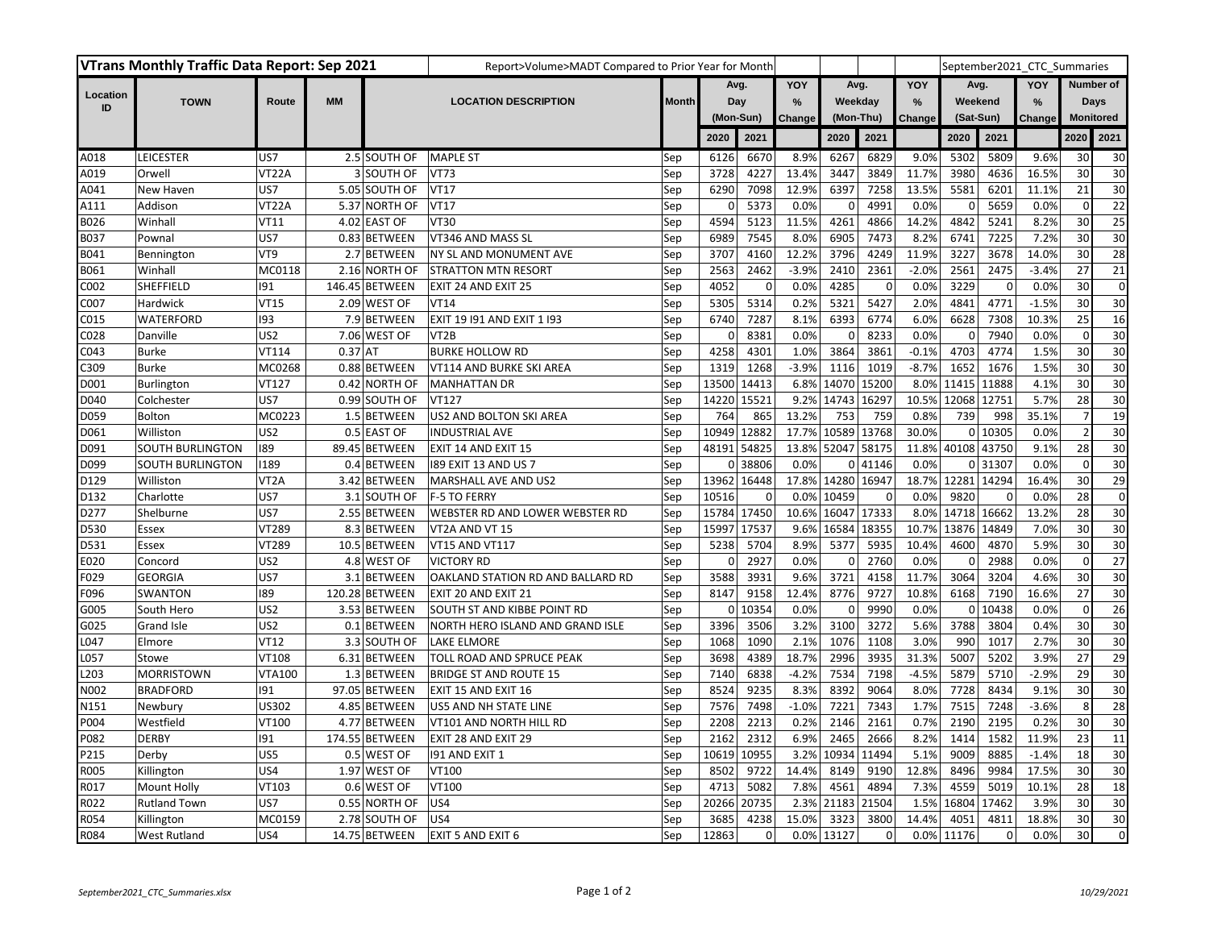| VTrans Monthly Traffic Data Report: Sep 2021 |                         |                    |           |                | Report>Volume>MADT Compared to Prior Year for Month |              |             |                     |                   |            |          |               |            |             | September2021 CTC Summaries |                  |                 |
|----------------------------------------------|-------------------------|--------------------|-----------|----------------|-----------------------------------------------------|--------------|-------------|---------------------|-------------------|------------|----------|---------------|------------|-------------|-----------------------------|------------------|-----------------|
|                                              |                         |                    |           |                |                                                     |              | Avg.<br>Dav |                     | YOY               | Avg.       |          | YOY           | Avg.       |             | YOY                         | Number of        |                 |
| Location<br>ID                               | <b>TOWN</b>             | Route              | <b>MM</b> |                | <b>LOCATION DESCRIPTION</b>                         | <b>Month</b> |             |                     | %                 | Weekday    |          | $\frac{9}{6}$ | Weekend    |             | %                           | Days             |                 |
|                                              |                         |                    |           |                |                                                     |              |             | (Mon-Sun)<br>Change |                   | (Mon-Thu)  |          | Change        | (Sat-Sun)  |             | Change                      | <b>Monitored</b> |                 |
|                                              |                         |                    |           |                |                                                     |              | 2020        | 2021                |                   | 2020       | 2021     |               | 2020       | 2021        |                             | 2020             | 2021            |
| A018                                         | <b>LEICESTER</b>        | US7                |           | 2.5 SOUTH OF   | <b>MAPLE ST</b>                                     | Sep          | 6126        | 6670                | 8.9%              | 6267       | 6829     | 9.0%          | 5302       | 5809        | 9.6%                        | 30               | 30              |
| A019                                         | Orwell                  | VT <sub>22</sub> A |           | 3 SOUTH OF     | <b>VT73</b>                                         | Sep          | 3728        | 4227                | 13.4%             | 3447       | 3849     | 11.7%         | 3980       | 4636        | 16.5%                       | 30               | 30              |
| A041                                         | New Haven               | US7                |           | 5.05 SOUTH OF  | <b>VT17</b>                                         | Sep          | 6290        | 7098                | 12.9%             | 6397       | 7258     | 13.5%         | 5581       | 6201        | 11.1%                       | 21               | 30              |
| A111                                         | Addison                 | VT <sub>22</sub> A |           | 5.37 NORTH OF  | <b>VT17</b>                                         | Sep          | $\Omega$    | 5373                | 0.0%              | 0          | 4991     | 0.0%          | $\Omega$   | 5659        | 0.0%                        | $\mathbf{0}$     | $\overline{22}$ |
| B026                                         | Winhall                 | <b>VT11</b>        |           | 4.02 EAST OF   | <b>VT30</b>                                         | Sep          | 4594        | 5123                | 11.5%             | 4261       | 4866     | 14.2%         | 4842       | 5241        | 8.2%                        | 30               | 25              |
| B037                                         | Pownal                  | US7                |           | 0.83 BETWEEN   | VT346 AND MASS SL                                   | Sep          | 6989        | 7545                | 8.0%              | 6905       | 7473     | 8.2%          | 6741       | 7225        | 7.2%                        | 30               | 30              |
| B041                                         | Bennington              | VT9                |           | 2.7 BETWEEN    | NY SL AND MONUMENT AVE                              | Sep          | 3707        | 4160                | 12.2%             | 3796       | 4249     | 11.9%         | 3227       | 3678        | 14.0%                       | 30               | 28              |
| B061                                         | Winhall                 | MC0118             |           | 2.16 NORTH OF  | STRATTON MTN RESORT                                 | Sep          | 2563        | 2462                | $-3.9%$           | 2410       | 2361     | $-2.0%$       | 2561       | 2475        | $-3.4%$                     | 27               | 21              |
| C002                                         | SHEFFIELD               | 191                |           | 146.45 BETWEEN | EXIT 24 AND EXIT 25                                 | Sep          | 4052        | $\mathbf 0$         | 0.0%              | 4285       | $\Omega$ | 0.0%          | 3229       | $\mathbf 0$ | 0.0%                        | 30               | $\mathbf 0$     |
| C007                                         | Hardwick                | VT15               |           | 2.09 WEST OF   | <b>VT14</b>                                         | Sep          | 5305        | 5314                | 0.2%              | 5321       | 5427     | 2.0%          | 4841       | 4771        | $-1.5%$                     | 30               | 30              |
| C015                                         | WATERFORD               | 193                |           | 7.9 BETWEEN    | EXIT 19 191 AND EXIT 1 193                          | Sep          | 6740        | 7287                | 8.1%              | 6393       | 6774     | 6.0%          | 6628       | 7308        | 10.3%                       | 25               | 16              |
| C028                                         | Danville                | US <sub>2</sub>    |           | 7.06 WEST OF   | VT <sub>2</sub> B                                   | Sep          | 0           | 8381                | 0.0%              | 0          | 8233     | 0.0%          | $\Omega$   | 7940        | 0.0%                        | $\mathbf 0$      | 30              |
| C043                                         | <b>Burke</b>            | <b>VT114</b>       | $0.37$ AT |                | <b>BURKE HOLLOW RD</b>                              | Sep          | 4258        | 4301                | 1.0%              | 3864       | 3861     | $-0.1%$       | 4703       | 4774        | 1.5%                        | 30               | 30              |
| C309                                         | <b>Burke</b>            | MC0268             |           | 0.88 BETWEEN   | VT114 AND BURKE SKI AREA                            | Sep          | 1319        | 1268                | $-3.9%$           | 1116       | 1019     | $-8.7%$       | 1652       | 1676        | 1.5%                        | 30               | 30              |
| D001                                         | Burlington              | VT127              |           | 0.42 NORTH OF  | <b>MANHATTAN DR</b>                                 | Sep          | 13500       | 14413               |                   | 6.8% 14070 | 15200    | 8.0%          | 11415      | 11888       | 4.1%                        | 30               | 30              |
| D040                                         | Colchester              | US7                |           | 0.99 SOUTH OF  | <b>VT127</b>                                        | Sep          | 14220       | 15521               | 9.2%              | 14743      | 16297    | 10.5%         | 12068      | 12751       | 5.7%                        | 28               | 30              |
| D059                                         | <b>Bolton</b>           | MC0223             |           | 1.5 BETWEEN    | US2 AND BOLTON SKI AREA                             | Sep          | 764         | 865                 | 13.2%             | 753        | 759      | 0.8%          | 739        | 998         | 35.1%                       | $\overline{7}$   | 19              |
| D061                                         | Williston               | US <sub>2</sub>    |           | 0.5 EAST OF    | <b>INDUSTRIAL AVE</b>                               | Sep          | 10949       | 12882               | 17.7% 10589 13768 |            |          | 30.0%         | 0          | 10305       | 0.0%                        | $\overline{2}$   | 30              |
| D091                                         | <b>SOUTH BURLINGTON</b> | 189                |           | 89.45 BETWEEN  | EXIT 14 AND EXIT 15                                 | Sep          | 48191       | 54825               | 13.8% 52047       |            | 58175    | 11.8%         | 40108      | 43750       | 9.1%                        | 28               | 30              |
| D099                                         | SOUTH BURLINGTON        | 1189               |           | 0.4 BETWEEN    | 189 EXIT 13 AND US 7                                | Sep          | 0           | 38806               | 0.0%              |            | 0 41146  | 0.0%          | $\Omega$   | 31307       | 0.0%                        | $\mathbf 0$      | 30              |
| D129                                         | Williston               | VT <sub>2</sub> A  |           | 3.42 BETWEEN   | MARSHALL AVE AND US2                                | Sep          | 13962       | 16448               | 17.8% 14280 16947 |            |          | 18.7%         | 12281      | 14294       | 16.4%                       | 30               | 29              |
| D132                                         | Charlotte               | US7                |           | 3.1 SOUTH OF   | F-5 TO FERRY                                        | Sep          | 10516       | $\mathbf 0$         |                   | 0.0% 10459 | C        | 0.0%          | 9820       | $\Omega$    | 0.0%                        | 28               | $\mathbf 0$     |
| D277                                         | Shelburne               | US7                |           | 2.55 BETWEEN   | WEBSTER RD AND LOWER WEBSTER RD                     | Sep          | 15784       | 17450               | 10.6%             | 16047      | 17333    | 8.0%          | 14718      | 16662       | 13.2%                       | 28               | 30              |
| D530                                         | Essex                   | VT289              |           | 8.3 BETWEEN    | VT2A AND VT 15                                      | Sep          | 15997       | 17537               |                   | 9.6% 16584 | 18355    | 10.7%         | 13876      | 14849       | 7.0%                        | 30               | 30              |
| D531                                         | Essex                   | VT289              |           | 10.5 BETWEEN   | VT15 AND VT117                                      | Sep          | 5238        | 5704                | 8.9%              | 5377       | 5935     | 10.4%         | 4600       | 4870        | 5.9%                        | 30               | 30              |
| E020                                         | Concord                 | US <sub>2</sub>    |           | 4.8 WEST OF    | <b>VICTORY RD</b>                                   | Sep          | 0           | 2927                | 0.0%              | 0          | 2760     | 0.0%          | 0          | 2988        | 0.0%                        | $\mathbf 0$      | 27              |
| F029                                         | <b>GEORGIA</b>          | US7                |           | 3.1 BETWEEN    | OAKLAND STATION RD AND BALLARD RD                   | Sep          | 3588        | 3931                | 9.6%              | 3721       | 4158     | 11.7%         | 3064       | 3204        | 4.6%                        | 30               | 30              |
| F096                                         | SWANTON                 | 189                |           | 120.28 BETWEEN | EXIT 20 AND EXIT 21                                 | Sep          | 8147        | 9158                | 12.4%             | 8776       | 9727     | 10.8%         | 6168       | 7190        | 16.6%                       | 27               | 30              |
| G005                                         | South Hero              | US <sub>2</sub>    |           | 3.53 BETWEEN   | SOUTH ST AND KIBBE POINT RD                         | Sep          | 0           | 10354               | 0.0%              | 0          | 9990     | 0.0%          | $\Omega$   | 10438       | 0.0%                        | $\mathbf 0$      | 26              |
| G025                                         | Grand Isle              | US <sub>2</sub>    |           | 0.1 BETWEEN    | NORTH HERO ISLAND AND GRAND ISLE                    | Sep          | 3396        | 3506                | 3.2%              | 3100       | 3272     | 5.6%          | 3788       | 3804        | 0.4%                        | 30               | 30              |
| L047                                         | Elmore                  | <b>VT12</b>        |           | 3.3 SOUTH OF   | <b>LAKE ELMORE</b>                                  | Sep          | 1068        | 1090                | 2.1%              | 1076       | 1108     | 3.0%          | 990        | 1017        | 2.7%                        | 30               | 30              |
| L057                                         | Stowe                   | VT108              |           | 6.31 BETWEEN   | TOLL ROAD AND SPRUCE PEAK                           | Sep          | 3698        | 4389                | 18.7%             | 2996       | 3935     | 31.3%         | 5007       | 5202        | 3.9%                        | 27               | 29              |
| L203                                         | <b>MORRISTOWN</b>       | <b>VTA100</b>      |           | 1.3 BETWEEN    | <b>BRIDGE ST AND ROUTE 15</b>                       | Sep          | 7140        | 6838                | $-4.2%$           | 7534       | 7198     | $-4.5%$       | 5879       | 5710        | $-2.9%$                     | 29               | 30              |
| N002                                         | <b>BRADFORD</b>         | 191                |           | 97.05 BETWEEN  | EXIT 15 AND EXIT 16                                 | Sep          | 8524        | 9235                | 8.3%              | 8392       | 9064     | 8.0%          | 7728       | 8434        | 9.1%                        | 30               | 30              |
| N151                                         | Newbury                 | US302              |           | 4.85 BETWEEN   | US5 AND NH STATE LINE                               | Sep          | 7576        | 7498                | $-1.0%$           | 7221       | 7343     | 1.7%          | 7515       | 7248        | $-3.6%$                     | 8                | 28              |
| P004                                         | Westfield               | VT100              |           | 4.77 BETWEEN   | VT101 AND NORTH HILL RD                             | Sep          | 2208        | 2213                | 0.2%              | 2146       | 2161     | 0.7%          | 2190       | 2195        | 0.2%                        | 30               | 30              |
| P082                                         | <b>DERBY</b>            | 191                |           | 174.55 BETWEEN | EXIT 28 AND EXIT 29                                 | Sep          | 2162        | 2312                | 6.9%              | 2465       | 2666     | 8.2%          | 1414       | 1582        | 11.9%                       | 23               | 11              |
| P215                                         | Derby                   | US5                |           | 0.5 WEST OF    | 191 AND EXIT 1                                      | Sep          | 10619       | 10955               | 3.2%              | 10934      | 11494    | 5.1%          | 9009       | 8885        | $-1.4%$                     | 18               | 30              |
| R005                                         | Killington              | US4                |           | 1.97 WEST OF   | VT100                                               | Sep          | 8502        | 9722                | 14.4%             | 8149       | 9190     | 12.8%         | 8496       | 9984        | 17.5%                       | 30               | 30              |
| R017                                         | <b>Mount Holly</b>      | VT103              |           | 0.6 WEST OF    | VT100                                               | Sep          | 4713        | 5082                | 7.8%              | 4561       | 4894     | 7.3%          | 4559       | 5019        | 10.1%                       | 28               | 18              |
| R022                                         | <b>Rutland Town</b>     | US7                |           | 0.55 NORTH OF  | US4                                                 | Sep          | 20266       | 20735               | 2.3%              | 21183      | 21504    | 1.5%          | 16804      | 17462       | 3.9%                        | 30               | 30              |
| R054                                         | Killington              | MC0159             |           | 2.78 SOUTH OF  | US4                                                 | Sep          | 3685        | 4238                | 15.0%             | 3323       | 3800     | 14.4%         | 4051       | 4811        | 18.8%                       | 30               | 30              |
| R084                                         | <b>West Rutland</b>     | US4                |           | 14.75 BETWEEN  | EXIT 5 AND EXIT 6                                   | Sep          | 12863       | $\Omega$            |                   | 0.0% 13127 | $\Omega$ |               | 0.0% 11176 | $\Omega$    | 0.0%                        | 30               | $\mathbf 0$     |